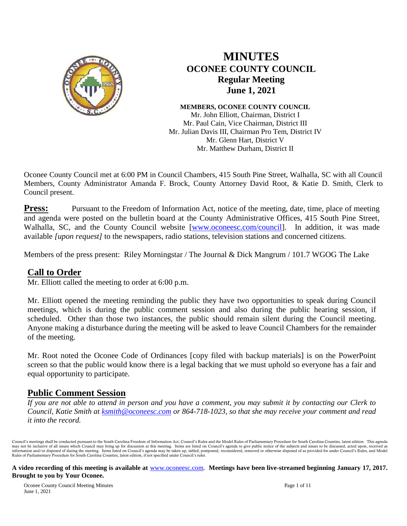

## **MINUTES OCONEE COUNTY COUNCIL Regular Meeting June 1, 2021**

**MEMBERS, OCONEE COUNTY COUNCIL** Mr. John Elliott, Chairman, District I Mr. Paul Cain, Vice Chairman, District III Mr. Julian Davis III, Chairman Pro Tem, District IV Mr. Glenn Hart, District V Mr. Matthew Durham, District II

Oconee County Council met at 6:00 PM in Council Chambers, 415 South Pine Street, Walhalla, SC with all Council Members, County Administrator Amanda F. Brock, County Attorney David Root, & Katie D. Smith, Clerk to Council present.

**Press:** Pursuant to the Freedom of Information Act, notice of the meeting, date, time, place of meeting and agenda were posted on the bulletin board at the County Administrative Offices, 415 South Pine Street, Walhalla, SC, and the County Council website [\[www.oconeesc.com/council\]](http://www.oconeesc.com/council). In addition, it was made available *[upon request]* to the newspapers, radio stations, television stations and concerned citizens.

Members of the press present: Riley Morningstar / The Journal & Dick Mangrum / 101.7 WGOG The Lake

### **Call to Order**

Mr. Elliott called the meeting to order at 6:00 p.m.

Mr. Elliott opened the meeting reminding the public they have two opportunities to speak during Council meetings, which is during the public comment session and also during the public hearing session, if scheduled. Other than those two instances, the public should remain silent during the Council meeting. Anyone making a disturbance during the meeting will be asked to leave Council Chambers for the remainder of the meeting.

Mr. Root noted the Oconee Code of Ordinances [copy filed with backup materials] is on the PowerPoint screen so that the public would know there is a legal backing that we must uphold so everyone has a fair and equal opportunity to participate.

### **Public Comment Session**

*If you are not able to attend in person and you have a comment, you may submit it by contacting our Clerk to Council, Katie Smith at [ksmith@oconeesc.com](mailto:ksmith@oconeesc.com) or 864-718-1023, so that she may receive your comment and read it into the record.* 

Council's meetings shall be conducted pursuant to the South Carolina Freedom of Information Act, Council's Rules and the Model Rules of Parliamentary Procedure for South Carolina Counties, latest edition. This agenda may not be inclusive of all issues which Council may bring up for discussion at this meeting. Items are listed on Council's agenda to give public notice of the subjects and issues to be discussed, acted upon, received as i Rules of Parliamentary Procedure for South Carolina Counties, latest edition, if not specified under Council's rules.

#### **A video recording of this meeting is available at** [www.oconeesc.com.](http://www.oconeesc.com/) **Meetings have been live-streamed beginning January 17, 2017. Brought to you by Your Oconee.**

Oconee County Council Meeting Minutes Page 1 of 11 June 1, 2021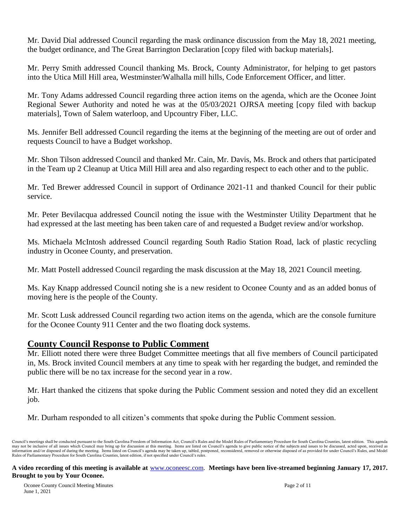Mr. David Dial addressed Council regarding the mask ordinance discussion from the May 18, 2021 meeting, the budget ordinance, and The Great Barrington Declaration [copy filed with backup materials].

Mr. Perry Smith addressed Council thanking Ms. Brock, County Administrator, for helping to get pastors into the Utica Mill Hill area, Westminster/Walhalla mill hills, Code Enforcement Officer, and litter.

Mr. Tony Adams addressed Council regarding three action items on the agenda, which are the Oconee Joint Regional Sewer Authority and noted he was at the 05/03/2021 OJRSA meeting [copy filed with backup materials], Town of Salem waterloop, and Upcountry Fiber, LLC.

Ms. Jennifer Bell addressed Council regarding the items at the beginning of the meeting are out of order and requests Council to have a Budget workshop.

Mr. Shon Tilson addressed Council and thanked Mr. Cain, Mr. Davis, Ms. Brock and others that participated in the Team up 2 Cleanup at Utica Mill Hill area and also regarding respect to each other and to the public.

Mr. Ted Brewer addressed Council in support of Ordinance 2021-11 and thanked Council for their public service.

Mr. Peter Bevilacqua addressed Council noting the issue with the Westminster Utility Department that he had expressed at the last meeting has been taken care of and requested a Budget review and/or workshop.

Ms. Michaela McIntosh addressed Council regarding South Radio Station Road, lack of plastic recycling industry in Oconee County, and preservation.

Mr. Matt Postell addressed Council regarding the mask discussion at the May 18, 2021 Council meeting.

Ms. Kay Knapp addressed Council noting she is a new resident to Oconee County and as an added bonus of moving here is the people of the County.

Mr. Scott Lusk addressed Council regarding two action items on the agenda, which are the console furniture for the Oconee County 911 Center and the two floating dock systems.

### **County Council Response to Public Comment**

Mr. Elliott noted there were three Budget Committee meetings that all five members of Council participated in, Ms. Brock invited Council members at any time to speak with her regarding the budget, and reminded the public there will be no tax increase for the second year in a row.

Mr. Hart thanked the citizens that spoke during the Public Comment session and noted they did an excellent job.

Mr. Durham responded to all citizen's comments that spoke during the Public Comment session.

Council's meetings shall be conducted pursuant to the South Carolina Freedom of Information Act, Council's Rules and the Model Rules of Parliamentary Procedure for South Carolina Counties, latest edition. This agenda may not be inclusive of all issues which Council may bring up for discussion at this meeting. Items are listed on Council's agenda to give public notice of the subjects and issues to be discussed, acted upon, received as i Rules of Parliamentary Procedure for South Carolina Counties, latest edition, if not specified under Council's rules.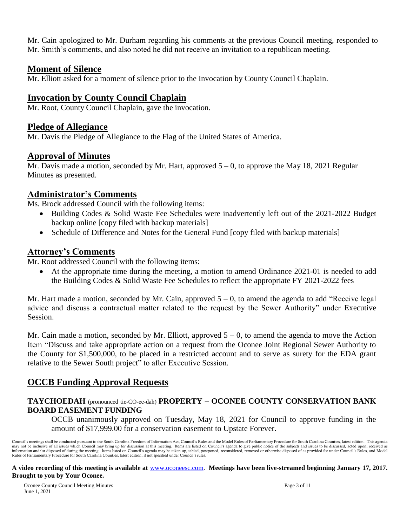Mr. Cain apologized to Mr. Durham regarding his comments at the previous Council meeting, responded to Mr. Smith's comments, and also noted he did not receive an invitation to a republican meeting.

#### **Moment of Silence**

Mr. Elliott asked for a moment of silence prior to the Invocation by County Council Chaplain.

### **Invocation by County Council Chaplain**

Mr. Root, County Council Chaplain, gave the invocation.

### **Pledge of Allegiance**

Mr. Davis the Pledge of Allegiance to the Flag of the United States of America.

#### **Approval of Minutes**

Mr. Davis made a motion, seconded by Mr. Hart, approved  $5 - 0$ , to approve the May 18, 2021 Regular Minutes as presented.

### **Administrator's Comments**

Ms. Brock addressed Council with the following items:

- Building Codes & Solid Waste Fee Schedules were inadvertently left out of the 2021-2022 Budget backup online [copy filed with backup materials]
- Schedule of Difference and Notes for the General Fund [copy filed with backup materials]

### **Attorney's Comments**

Mr. Root addressed Council with the following items:

 At the appropriate time during the meeting, a motion to amend Ordinance 2021-01 is needed to add the Building Codes & Solid Waste Fee Schedules to reflect the appropriate FY 2021-2022 fees

Mr. Hart made a motion, seconded by Mr. Cain, approved  $5 - 0$ , to amend the agenda to add "Receive legal advice and discuss a contractual matter related to the request by the Sewer Authority" under Executive Session.

Mr. Cain made a motion, seconded by Mr. Elliott, approved  $5 - 0$ , to amend the agenda to move the Action Item "Discuss and take appropriate action on a request from the Oconee Joint Regional Sewer Authority to the County for \$1,500,000, to be placed in a restricted account and to serve as surety for the EDA grant relative to the Sewer South project" to after Executive Session.

## **OCCB Funding Approval Requests**

#### **TAYCHOEDAH** (pronounced tie-CO-ee-dah) **PROPERTY – OCONEE COUNTY CONSERVATION BANK BOARD EASEMENT FUNDING**

OCCB unanimously approved on Tuesday, May 18, 2021 for Council to approve funding in the amount of \$17,999.00 for a conservation easement to Upstate Forever.

Council's meetings shall be conducted pursuant to the South Carolina Freedom of Information Act, Council's Rules and the Model Rules of Parliamentary Procedure for South Carolina Counties, latest edition. This agenda may not be inclusive of all issues which Council may bring up for discussion at this meeting. Items are listed on Council's agenda to give public notice of the subjects and issues to be discussed, acted upon, received as i Rules of Parliamentary Procedure for South Carolina Counties, latest edition, if not specified under Council's rules.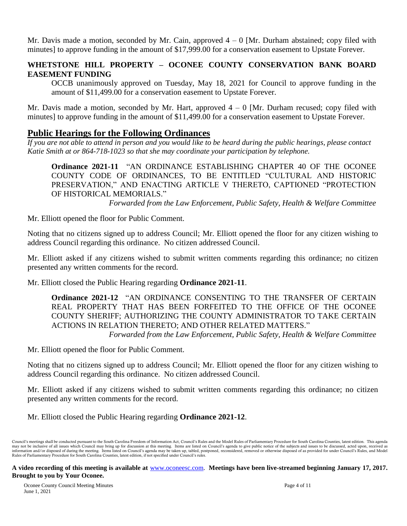Mr. Davis made a motion, seconded by Mr. Cain, approved  $4 - 0$  [Mr. Durham abstained; copy filed with minutes] to approve funding in the amount of \$17,999.00 for a conservation easement to Upstate Forever.

#### **WHETSTONE HILL PROPERTY – OCONEE COUNTY CONSERVATION BANK BOARD EASEMENT FUNDING**

OCCB unanimously approved on Tuesday, May 18, 2021 for Council to approve funding in the amount of \$11,499.00 for a conservation easement to Upstate Forever.

Mr. Davis made a motion, seconded by Mr. Hart, approved  $4 - 0$  [Mr. Durham recused; copy filed with minutes] to approve funding in the amount of \$11,499.00 for a conservation easement to Upstate Forever.

## **Public Hearings for the Following Ordinances**

*If you are not able to attend in person and you would like to be heard during the public hearings, please contact Katie Smith at or 864-718-1023 so that she may coordinate your participation by telephone.*

**Ordinance 2021-11** "AN ORDINANCE ESTABLISHING CHAPTER 40 OF THE OCONEE COUNTY CODE OF ORDINANCES, TO BE ENTITLED "CULTURAL AND HISTORIC PRESERVATION," AND ENACTING ARTICLE V THERETO, CAPTIONED "PROTECTION OF HISTORICAL MEMORIALS."

*Forwarded from the Law Enforcement, Public Safety, Health & Welfare Committee*

Mr. Elliott opened the floor for Public Comment.

Noting that no citizens signed up to address Council; Mr. Elliott opened the floor for any citizen wishing to address Council regarding this ordinance. No citizen addressed Council.

Mr. Elliott asked if any citizens wished to submit written comments regarding this ordinance; no citizen presented any written comments for the record.

Mr. Elliott closed the Public Hearing regarding **Ordinance 2021-11**.

**Ordinance 2021-12** "AN ORDINANCE CONSENTING TO THE TRANSFER OF CERTAIN REAL PROPERTY THAT HAS BEEN FORFEITED TO THE OFFICE OF THE OCONEE COUNTY SHERIFF; AUTHORIZING THE COUNTY ADMINISTRATOR TO TAKE CERTAIN ACTIONS IN RELATION THERETO; AND OTHER RELATED MATTERS." *Forwarded from the Law Enforcement, Public Safety, Health & Welfare Committee*

Mr. Elliott opened the floor for Public Comment.

Noting that no citizens signed up to address Council; Mr. Elliott opened the floor for any citizen wishing to address Council regarding this ordinance. No citizen addressed Council.

Mr. Elliott asked if any citizens wished to submit written comments regarding this ordinance; no citizen presented any written comments for the record.

Mr. Elliott closed the Public Hearing regarding **Ordinance 2021-12**.

Council's meetings shall be conducted pursuant to the South Carolina Freedom of Information Act, Council's Rules and the Model Rules of Parliamentary Procedure for South Carolina Counties, latest edition. This agenda may not be inclusive of all issues which Council may bring up for discussion at this meeting. Items are listed on Council's agenda to give public notice of the subjects and issues to be discussed, acted upon, received as i Rules of Parliamentary Procedure for South Carolina Counties, latest edition, if not specified under Council's rules.

**A video recording of this meeting is available at** [www.oconeesc.com.](http://www.oconeesc.com/) **Meetings have been live-streamed beginning January 17, 2017. Brought to you by Your Oconee.**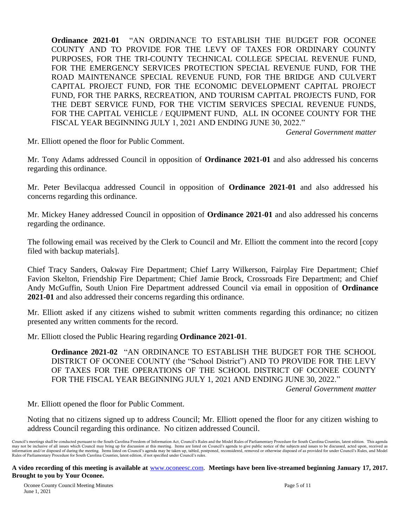**Ordinance 2021-01** "AN ORDINANCE TO ESTABLISH THE BUDGET FOR OCONEE COUNTY AND TO PROVIDE FOR THE LEVY OF TAXES FOR ORDINARY COUNTY PURPOSES, FOR THE TRI-COUNTY TECHNICAL COLLEGE SPECIAL REVENUE FUND, FOR THE EMERGENCY SERVICES PROTECTION SPECIAL REVENUE FUND, FOR THE ROAD MAINTENANCE SPECIAL REVENUE FUND, FOR THE BRIDGE AND CULVERT CAPITAL PROJECT FUND, FOR THE ECONOMIC DEVELOPMENT CAPITAL PROJECT FUND, FOR THE PARKS, RECREATION, AND TOURISM CAPITAL PROJECTS FUND, FOR THE DEBT SERVICE FUND, FOR THE VICTIM SERVICES SPECIAL REVENUE FUNDS, FOR THE CAPITAL VEHICLE / EQUIPMENT FUND, ALL IN OCONEE COUNTY FOR THE FISCAL YEAR BEGINNING JULY 1, 2021 AND ENDING JUNE 30, 2022."

*General Government matter*

Mr. Elliott opened the floor for Public Comment.

Mr. Tony Adams addressed Council in opposition of **Ordinance 2021-01** and also addressed his concerns regarding this ordinance.

Mr. Peter Bevilacqua addressed Council in opposition of **Ordinance 2021-01** and also addressed his concerns regarding this ordinance.

Mr. Mickey Haney addressed Council in opposition of **Ordinance 2021-01** and also addressed his concerns regarding the ordinance.

The following email was received by the Clerk to Council and Mr. Elliott the comment into the record [copy filed with backup materials].

Chief Tracy Sanders, Oakway Fire Department; Chief Larry Wilkerson, Fairplay Fire Department; Chief Favion Skelton, Friendship Fire Department; Chief Jamie Brock, Crossroads Fire Department; and Chief Andy McGuffin, South Union Fire Department addressed Council via email in opposition of **Ordinance 2021-01** and also addressed their concerns regarding this ordinance.

Mr. Elliott asked if any citizens wished to submit written comments regarding this ordinance; no citizen presented any written comments for the record.

Mr. Elliott closed the Public Hearing regarding **Ordinance 2021-01**.

**Ordinance 2021-02** "AN ORDINANCE TO ESTABLISH THE BUDGET FOR THE SCHOOL DISTRICT OF OCONEE COUNTY (the "School District") AND TO PROVIDE FOR THE LEVY OF TAXES FOR THE OPERATIONS OF THE SCHOOL DISTRICT OF OCONEE COUNTY FOR THE FISCAL YEAR BEGINNING JULY 1, 2021 AND ENDING JUNE 30, 2022."

*General Government matter*

Mr. Elliott opened the floor for Public Comment.

Noting that no citizens signed up to address Council; Mr. Elliott opened the floor for any citizen wishing to address Council regarding this ordinance. No citizen addressed Council.

Council's meetings shall be conducted pursuant to the South Carolina Freedom of Information Act, Council's Rules and the Model Rules of Parliamentary Procedure for South Carolina Counties, latest edition. This agenda may not be inclusive of all issues which Council may bring up for discussion at this meeting. Items are listed on Council's agenda to give public notice of the subjects and issues to be discussed, acted upon, received as i Rules of Parliamentary Procedure for South Carolina Counties, latest edition, if not specified under Council's rules.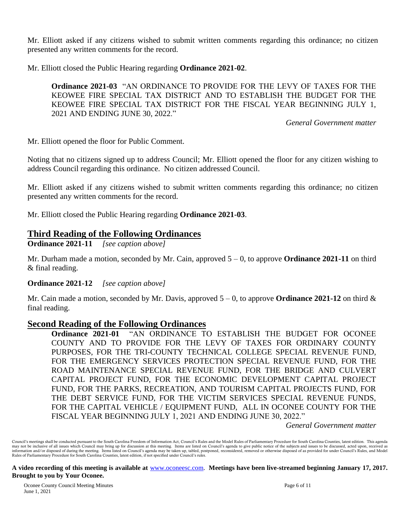Mr. Elliott asked if any citizens wished to submit written comments regarding this ordinance; no citizen presented any written comments for the record.

Mr. Elliott closed the Public Hearing regarding **Ordinance 2021-02**.

**Ordinance 2021-03** "AN ORDINANCE TO PROVIDE FOR THE LEVY OF TAXES FOR THE KEOWEE FIRE SPECIAL TAX DISTRICT AND TO ESTABLISH THE BUDGET FOR THE KEOWEE FIRE SPECIAL TAX DISTRICT FOR THE FISCAL YEAR BEGINNING JULY 1, 2021 AND ENDING JUNE 30, 2022."

*General Government matter*

Mr. Elliott opened the floor for Public Comment.

Noting that no citizens signed up to address Council; Mr. Elliott opened the floor for any citizen wishing to address Council regarding this ordinance. No citizen addressed Council.

Mr. Elliott asked if any citizens wished to submit written comments regarding this ordinance; no citizen presented any written comments for the record.

Mr. Elliott closed the Public Hearing regarding **Ordinance 2021-03**.

#### **Third Reading of the Following Ordinances**

**Ordinance 2021-11** *[see caption above]*

Mr. Durham made a motion, seconded by Mr. Cain, approved 5 – 0, to approve **Ordinance 2021-11** on third & final reading.

**Ordinance 2021-12** *[see caption above]*

Mr. Cain made a motion, seconded by Mr. Davis, approved  $5 - 0$ , to approve **Ordinance 2021-12** on third  $\&$ final reading.

#### **Second Reading of the Following Ordinances**

**Ordinance 2021-01** "AN ORDINANCE TO ESTABLISH THE BUDGET FOR OCONEE COUNTY AND TO PROVIDE FOR THE LEVY OF TAXES FOR ORDINARY COUNTY PURPOSES, FOR THE TRI-COUNTY TECHNICAL COLLEGE SPECIAL REVENUE FUND, FOR THE EMERGENCY SERVICES PROTECTION SPECIAL REVENUE FUND, FOR THE ROAD MAINTENANCE SPECIAL REVENUE FUND, FOR THE BRIDGE AND CULVERT CAPITAL PROJECT FUND, FOR THE ECONOMIC DEVELOPMENT CAPITAL PROJECT FUND, FOR THE PARKS, RECREATION, AND TOURISM CAPITAL PROJECTS FUND, FOR THE DEBT SERVICE FUND, FOR THE VICTIM SERVICES SPECIAL REVENUE FUNDS, FOR THE CAPITAL VEHICLE / EQUIPMENT FUND, ALL IN OCONEE COUNTY FOR THE FISCAL YEAR BEGINNING JULY 1, 2021 AND ENDING JUNE 30, 2022."

*General Government matter*

Council's meetings shall be conducted pursuant to the South Carolina Freedom of Information Act, Council's Rules and the Model Rules of Parliamentary Procedure for South Carolina Counties, latest edition. This agenda may not be inclusive of all issues which Council may bring up for discussion at this meeting. Items are listed on Council's agenda to give public notice of the subjects and issues to be discussed, acted upon, received as i Rules of Parliamentary Procedure for South Carolina Counties, latest edition, if not specified under Council's rules.

**A video recording of this meeting is available at** [www.oconeesc.com.](http://www.oconeesc.com/) **Meetings have been live-streamed beginning January 17, 2017. Brought to you by Your Oconee.**

Oconee County Council Meeting Minutes Page 6 of 11 June 1, 2021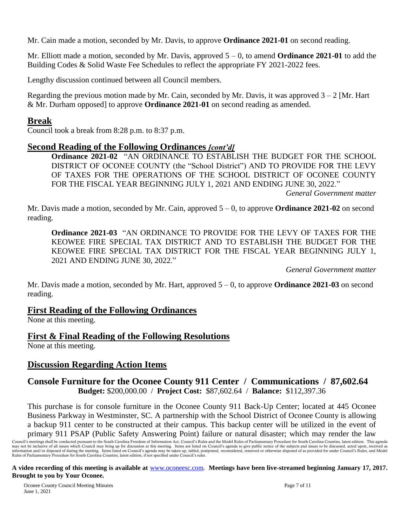Mr. Cain made a motion, seconded by Mr. Davis, to approve **Ordinance 2021-01** on second reading.

Mr. Elliott made a motion, seconded by Mr. Davis, approved 5 – 0, to amend **Ordinance 2021-01** to add the Building Codes & Solid Waste Fee Schedules to reflect the appropriate FY 2021-2022 fees.

Lengthy discussion continued between all Council members.

Regarding the previous motion made by Mr. Cain, seconded by Mr. Davis, it was approved  $3 - 2$  [Mr. Hart] & Mr. Durham opposed] to approve **Ordinance 2021-01** on second reading as amended.

#### **Break**

Council took a break from 8:28 p.m. to 8:37 p.m.

#### **Second Reading of the Following Ordinances** *[cont'd]*

**Ordinance 2021-02** "AN ORDINANCE TO ESTABLISH THE BUDGET FOR THE SCHOOL DISTRICT OF OCONEE COUNTY (the "School District") AND TO PROVIDE FOR THE LEVY OF TAXES FOR THE OPERATIONS OF THE SCHOOL DISTRICT OF OCONEE COUNTY FOR THE FISCAL YEAR BEGINNING JULY 1, 2021 AND ENDING JUNE 30, 2022."

*General Government matter*

Mr. Davis made a motion, seconded by Mr. Cain, approved 5 – 0, to approve **Ordinance 2021-02** on second reading.

**Ordinance 2021-03** "AN ORDINANCE TO PROVIDE FOR THE LEVY OF TAXES FOR THE KEOWEE FIRE SPECIAL TAX DISTRICT AND TO ESTABLISH THE BUDGET FOR THE KEOWEE FIRE SPECIAL TAX DISTRICT FOR THE FISCAL YEAR BEGINNING JULY 1, 2021 AND ENDING JUNE 30, 2022."

*General Government matter*

Mr. Davis made a motion, seconded by Mr. Hart, approved 5 – 0, to approve **Ordinance 2021-03** on second reading.

### **First Reading of the Following Ordinances**

None at this meeting.

### **First & Final Reading of the Following Resolutions**

None at this meeting.

### **Discussion Regarding Action Items**

#### **Console Furniture for the Oconee County 911 Center / Communications / 87,602.64 Budget:** \$200,000.00 / **Project Cost:** \$87,602.64 / **Balance:** \$112,397.36

This purchase is for console furniture in the Oconee County 911 Back-Up Center; located at 445 Oconee Business Parkway in Westminster, SC. A partnership with the School District of Oconee County is allowing a backup 911 center to be constructed at their campus. This backup center will be utilized in the event of primary 911 PSAP (Public Safety Answering Point) failure or natural disaster; which may render the law

Council's meetings shall be conducted pursuant to the South Carolina Freedom of Information Act, Council's Rules and the Model Rules of Parliamentary Procedure for South Carolina Counties, latest edition. This agenda may not be inclusive of all issues which Council may bring up for discussion at this meeting. Items are listed on Council's agenda to give public notice of the subjects and issues to be discussed, acted upon, received as i Rules of Parliamentary Procedure for South Carolina Counties, latest edition, if not specified under Council's rules.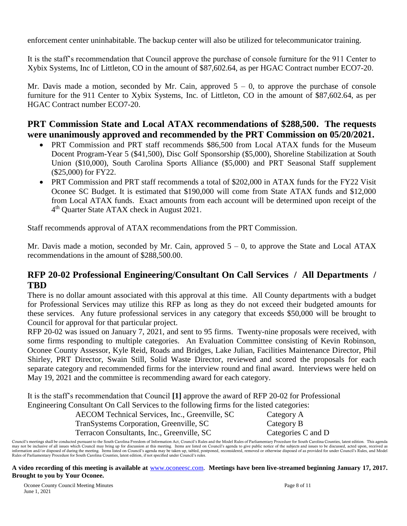enforcement center uninhabitable. The backup center will also be utilized for telecommunicator training.

It is the staff's recommendation that Council approve the purchase of console furniture for the 911 Center to Xybix Systems, Inc of Littleton, CO in the amount of \$87,602.64, as per HGAC Contract number ECO7-20.

Mr. Davis made a motion, seconded by Mr. Cain, approved  $5 - 0$ , to approve the purchase of console furniture for the 911 Center to Xybix Systems, Inc. of Littleton, CO in the amount of \$87,602.64, as per HGAC Contract number ECO7-20.

## **PRT Commission State and Local ATAX recommendations of \$288,500. The requests were unanimously approved and recommended by the PRT Commission on 05/20/2021.**

- PRT Commission and PRT staff recommends \$86,500 from Local ATAX funds for the Museum Docent Program-Year 5 (\$41,500), Disc Golf Sponsorship (\$5,000), Shoreline Stabilization at South Union (\$10,000), South Carolina Sports Alliance (\$5,000) and PRT Seasonal Staff supplement (\$25,000) for FY22.
- PRT Commission and PRT staff recommends a total of \$202,000 in ATAX funds for the FY22 Visit Oconee SC Budget. It is estimated that \$190,000 will come from State ATAX funds and \$12,000 from Local ATAX funds. Exact amounts from each account will be determined upon receipt of the 4<sup>th</sup> Quarter State ATAX check in August 2021.

Staff recommends approval of ATAX recommendations from the PRT Commission.

Mr. Davis made a motion, seconded by Mr. Cain, approved  $5 - 0$ , to approve the State and Local ATAX recommendations in the amount of \$288,500.00.

## **RFP 20-02 Professional Engineering/Consultant On Call Services / All Departments / TBD**

There is no dollar amount associated with this approval at this time. All County departments with a budget for Professional Services may utilize this RFP as long as they do not exceed their budgeted amounts for these services. Any future professional services in any category that exceeds \$50,000 will be brought to Council for approval for that particular project.

RFP 20-02 was issued on January 7, 2021, and sent to 95 firms. Twenty-nine proposals were received, with some firms responding to multiple categories. An Evaluation Committee consisting of Kevin Robinson, Oconee County Assessor, Kyle Reid, Roads and Bridges, Lake Julian, Facilities Maintenance Director, Phil Shirley, PRT Director, Swain Still, Solid Waste Director, reviewed and scored the proposals for each separate category and recommended firms for the interview round and final award. Interviews were held on May 19, 2021 and the committee is recommending award for each category.

It is the staff's recommendation that Council **[1]** approve the award of RFP 20-02 for Professional Engineering Consultant On Call Services to the following firms for the listed categories:

| AECOM Technical Services, Inc., Greenville, SC | Category A         |
|------------------------------------------------|--------------------|
| TranSystems Corporation, Greenville, SC        | Category B         |
| Terracon Consultants, Inc., Greenville, SC     | Categories C and D |

Council's meetings shall be conducted pursuant to the South Carolina Freedom of Information Act, Council's Rules and the Model Rules of Parliamentary Procedure for South Carolina Counties, latest edition. This agenda may not be inclusive of all issues which Council may bring up for discussion at this meeting. Items are listed on Council's agenda to give public notice of the subjects and issues to be discussed, acted upon, received as i Rules of Parliamentary Procedure for South Carolina Counties, latest edition, if not specified under Council's rules.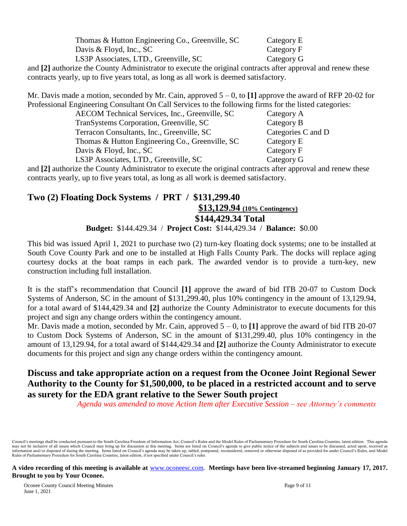| Thomas & Hutton Engineering Co., Greenville, SC | Category E |
|-------------------------------------------------|------------|
| Davis & Floyd, Inc., $SC$                       | Category F |
| LS3P Associates, LTD., Greenville, SC           | Category G |

and **[2]** authorize the County Administrator to execute the original contracts after approval and renew these contracts yearly, up to five years total, as long as all work is deemed satisfactory.

Mr. Davis made a motion, seconded by Mr. Cain, approved 5 – 0, to **[1]** approve the award of RFP 20-02 for Professional Engineering Consultant On Call Services to the following firms for the listed categories:

| AECOM Technical Services, Inc., Greenville, SC  | Category A         |
|-------------------------------------------------|--------------------|
| TranSystems Corporation, Greenville, SC         | Category B         |
| Terracon Consultants, Inc., Greenville, SC      | Categories C and D |
| Thomas & Hutton Engineering Co., Greenville, SC | Category E         |
| Davis & Floyd, Inc., SC                         | Category F         |
| LS3P Associates, LTD., Greenville, SC           | Category G         |

and **[2]** authorize the County Administrator to execute the original contracts after approval and renew these contracts yearly, up to five years total, as long as all work is deemed satisfactory.

## **Two (2) Floating Dock Systems / PRT / \$131,299.40 \$13,129.94 (10% Contingency) \$144,429.34 Total**

#### **Budget:** \$144.429.34 / **Project Cost:** \$144,429.34 / **Balance:** \$0.00

This bid was issued April 1, 2021 to purchase two (2) turn-key floating dock systems; one to be installed at South Cove County Park and one to be installed at High Falls County Park. The docks will replace aging courtesy docks at the boat ramps in each park. The awarded vendor is to provide a turn-key, new construction including full installation.

It is the staff's recommendation that Council **[1]** approve the award of bid ITB 20-07 to Custom Dock Systems of Anderson, SC in the amount of \$131,299.40, plus 10% contingency in the amount of 13,129.94, for a total award of \$144,429.34 and **[2]** authorize the County Administrator to execute documents for this project and sign any change orders within the contingency amount.

Mr. Davis made a motion, seconded by Mr. Cain, approved 5 – 0, to **[1]** approve the award of bid ITB 20-07 to Custom Dock Systems of Anderson, SC in the amount of \$131,299.40, plus 10% contingency in the amount of 13,129.94, for a total award of \$144,429.34 and **[2]** authorize the County Administrator to execute documents for this project and sign any change orders within the contingency amount.

## **Discuss and take appropriate action on a request from the Oconee Joint Regional Sewer Authority to the County for \$1,500,000, to be placed in a restricted account and to serve as surety for the EDA grant relative to the Sewer South project**

*Agenda was amended to move Action Item after Executive Session – see Attorney's comments*

Council's meetings shall be conducted pursuant to the South Carolina Freedom of Information Act, Council's Rules and the Model Rules of Parliamentary Procedure for South Carolina Counties, latest edition. This agenda may not be inclusive of all issues which Council may bring up for discussion at this meeting. Items are listed on Council's agenda to give public notice of the subjects and issues to be discussed, acted upon, received as i Rules of Parliamentary Procedure for South Carolina Counties, latest edition, if not specified under Council's rules.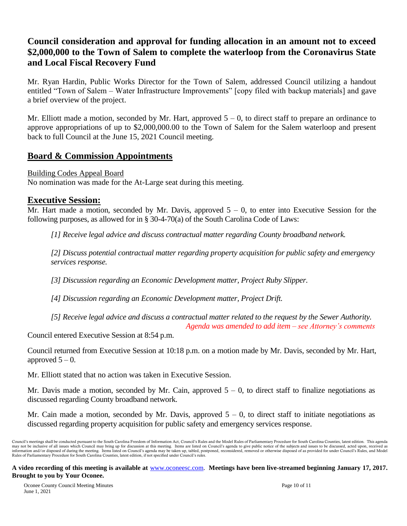## **Council consideration and approval for funding allocation in an amount not to exceed \$2,000,000 to the Town of Salem to complete the waterloop from the Coronavirus State and Local Fiscal Recovery Fund**

Mr. Ryan Hardin, Public Works Director for the Town of Salem, addressed Council utilizing a handout entitled "Town of Salem – Water Infrastructure Improvements" [copy filed with backup materials] and gave a brief overview of the project.

Mr. Elliott made a motion, seconded by Mr. Hart, approved  $5 - 0$ , to direct staff to prepare an ordinance to approve appropriations of up to \$2,000,000.00 to the Town of Salem for the Salem waterloop and present back to full Council at the June 15, 2021 Council meeting.

### **Board & Commission Appointments**

Building Codes Appeal Board

No nomination was made for the At-Large seat during this meeting.

### **Executive Session:**

Mr. Hart made a motion, seconded by Mr. Davis, approved  $5 - 0$ , to enter into Executive Session for the following purposes, as allowed for in § 30-4-70(a) of the South Carolina Code of Laws:

*[1] Receive legal advice and discuss contractual matter regarding County broadband network.*

*[2] Discuss potential contractual matter regarding property acquisition for public safety and emergency services response.*

*[3] Discussion regarding an Economic Development matter, Project Ruby Slipper.*

*[4] Discussion regarding an Economic Development matter, Project Drift.*

*[5] Receive legal advice and discuss a contractual matter related to the request by the Sewer Authority.*

*Agenda was amended to add item – see Attorney's comments* Council entered Executive Session at 8:54 p.m.

Council returned from Executive Session at 10:18 p.m. on a motion made by Mr. Davis, seconded by Mr. Hart, approved  $5 - 0$ .

Mr. Elliott stated that no action was taken in Executive Session.

Mr. Davis made a motion, seconded by Mr. Cain, approved  $5 - 0$ , to direct staff to finalize negotiations as discussed regarding County broadband network.

Mr. Cain made a motion, seconded by Mr. Davis, approved  $5 - 0$ , to direct staff to initiate negotiations as discussed regarding property acquisition for public safety and emergency services response.

Council's meetings shall be conducted pursuant to the South Carolina Freedom of Information Act, Council's Rules and the Model Rules of Parliamentary Procedure for South Carolina Counties, latest edition. This agenda may not be inclusive of all issues which Council may bring up for discussion at this meeting. Items are listed on Council's agenda to give public notice of the subjects and issues to be discussed, acted upon, received as i Rules of Parliamentary Procedure for South Carolina Counties, latest edition, if not specified under Council's rules.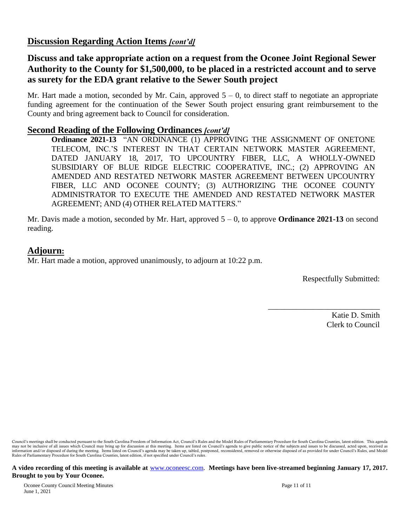## **Discussion Regarding Action Items** *[cont'd]*

## **Discuss and take appropriate action on a request from the Oconee Joint Regional Sewer Authority to the County for \$1,500,000, to be placed in a restricted account and to serve as surety for the EDA grant relative to the Sewer South project**

Mr. Hart made a motion, seconded by Mr. Cain, approved  $5 - 0$ , to direct staff to negotiate an appropriate funding agreement for the continuation of the Sewer South project ensuring grant reimbursement to the County and bring agreement back to Council for consideration.

#### **Second Reading of the Following Ordinances** *[cont'd]*

**Ordinance 2021-13** "AN ORDINANCE (1) APPROVING THE ASSIGNMENT OF ONETONE TELECOM, INC.'S INTEREST IN THAT CERTAIN NETWORK MASTER AGREEMENT, DATED JANUARY 18, 2017, TO UPCOUNTRY FIBER, LLC, A WHOLLY-OWNED SUBSIDIARY OF BLUE RIDGE ELECTRIC COOPERATIVE, INC.; (2) APPROVING AN AMENDED AND RESTATED NETWORK MASTER AGREEMENT BETWEEN UPCOUNTRY FIBER, LLC AND OCONEE COUNTY; (3) AUTHORIZING THE OCONEE COUNTY ADMINISTRATOR TO EXECUTE THE AMENDED AND RESTATED NETWORK MASTER AGREEMENT; AND (4) OTHER RELATED MATTERS."

Mr. Davis made a motion, seconded by Mr. Hart, approved 5 – 0, to approve **Ordinance 2021-13** on second reading.

## **Adjourn:**

Mr. Hart made a motion, approved unanimously, to adjourn at 10:22 p.m.

Respectfully Submitted:

\_\_\_\_\_\_\_\_\_\_\_\_\_\_\_\_\_\_\_\_\_\_\_\_\_\_\_\_

Katie D. Smith Clerk to Council

Council's meetings shall be conducted pursuant to the South Carolina Freedom of Information Act, Council's Rules and the Model Rules of Parliamentary Procedure for South Carolina Counties, latest edition. This agenda may not be inclusive of all issues which Council may bring up for discussion at this meeting. Items are listed on Council's agenda to give public notice of the subjects and issues to be discussed, acted upon, received as i Rules of Parliamentary Procedure for South Carolina Counties, latest edition, if not specified under Council's rules.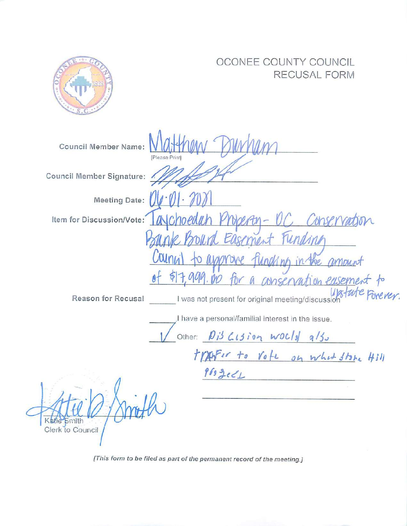|                                        | OCONEE COUNTY COUNCIL<br>RECUSAL FORM                                                                                                                                                                                                                                                                               |
|----------------------------------------|---------------------------------------------------------------------------------------------------------------------------------------------------------------------------------------------------------------------------------------------------------------------------------------------------------------------|
| Council Member Name:<br>[Please Print] |                                                                                                                                                                                                                                                                                                                     |
| Council Member Signature:              |                                                                                                                                                                                                                                                                                                                     |
| <b>Meeting Date:</b>                   |                                                                                                                                                                                                                                                                                                                     |
| Item for Discussion/Vote:              | choedth                                                                                                                                                                                                                                                                                                             |
| Jainn<br>Reason for Recusal            | asement rending<br>nh in the amount<br>conservation easement to<br>Upstate Forever.<br>I was not present for original meeting/discussion<br>I have a personal/familial interest in the issue.<br>Other: $\beta i^3$ $\zeta_1$ $j$ $j$ $\alpha$ $N$ $\zeta_3$ $\eta$ $\zeta_5$<br>tranfor to vote on what store 4311 |
| Katie<br>Smith<br>Clerk to Council     | 9692021                                                                                                                                                                                                                                                                                                             |

[This form to be filed as part of the permanent record of the meeting.]